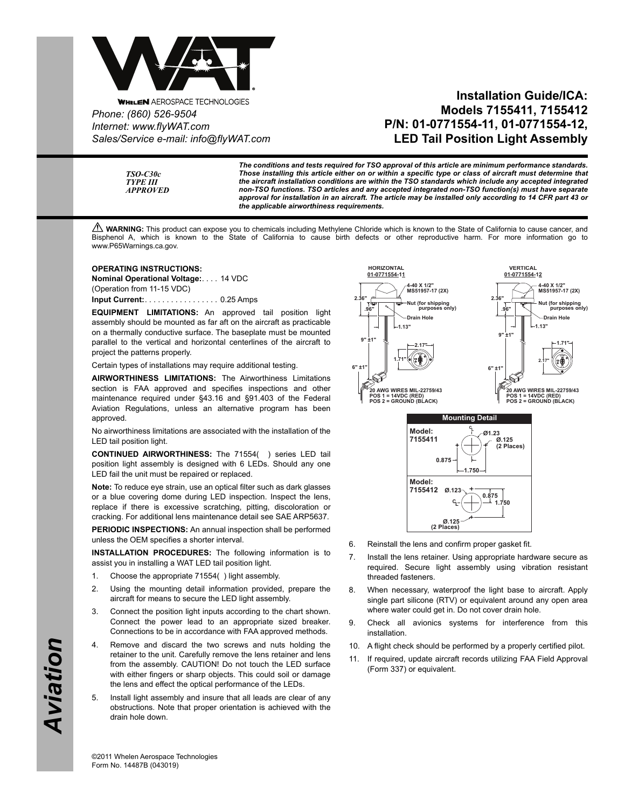

**WHELEN AEROSPACE TECHNOLOGIES** *Phone: (860) 526-9504 Internet: www.flyWAT.com Sales/Service e-mail: info@flyWAT.com*

## **Installation Guide/ICA: Models 7155411, 7155412 P/N: 01-0771554-11, 01-0771554-12, LED Tail Position Light Assembly**

*TSO-C30c TYPE III APPROVED*

*The conditions and tests required for TSO approval of this article are minimum performance standards. Those installing this article either on or within a specific type or class of aircraft must determine that the aircraft installation conditions are within the TSO standards which include any accepted integrated non-TSO functions. TSO articles and any accepted integrated non-TSO function(s) must have separate approval for installation in an aircraft. The article may be installed only according to 14 CFR part 43 or the applicable airworthiness requirements.*

**A WARNING:** This product can expose you to chemicals including Methylene Chloride which is known to the State of California to cause cancer, and Bisphenol A, which is known to the State of California to cause birth defects or other reproductive harm. For more information go to www.P65Warnings.ca.gov.

## **OPERATING INSTRUCTIONS:**

**Nominal Operational Voltage:**. . . . 14 VDC (Operation from 11-15 VDC) **Input Current:**. . . . . . . . . . . . . . . . . 0.25 Amps

**EQUIPMENT LIMITATIONS:** An approved tail position light assembly should be mounted as far aft on the aircraft as practicable on a thermally conductive surface. The baseplate must be mounted parallel to the vertical and horizontal centerlines of the aircraft to project the patterns properly.

Certain types of installations may require additional testing.

**AIRWORTHINESS LIMITATIONS:** The Airworthiness Limitations section is FAA approved and specifies inspections and other maintenance required under §43.16 and §91.403 of the Federal Aviation Regulations, unless an alternative program has been approved.

No airworthiness limitations are associated with the installation of the LED tail position light.

**CONTINUED AIRWORTHINESS:** The 71554( ) series LED tail position light assembly is designed with 6 LEDs. Should any one LED fail the unit must be repaired or replaced.

**Note:** To reduce eye strain, use an optical filter such as dark glasses or a blue covering dome during LED inspection. Inspect the lens, replace if there is excessive scratching, pitting, discoloration or cracking. For additional lens maintenance detail see SAE ARP5637.

**PERIODIC INSPECTIONS:** An annual inspection shall be performed unless the OEM specifies a shorter interval.

**INSTALLATION PROCEDURES:** The following information is to assist you in installing a WAT LED tail position light.

- 1. Choose the appropriate 71554( ) light assembly.
- 2. Using the mounting detail information provided, prepare the aircraft for means to secure the LED light assembly.
- 3. Connect the position light inputs according to the chart shown. Connect the power lead to an appropriate sized breaker. Connections to be in accordance with FAA approved methods.
- 4. Remove and discard the two screws and nuts holding the retainer to the unit. Carefully remove the lens retainer and lens from the assembly. CAUTION! Do not touch the LED surface with either fingers or sharp objects. This could soil or damage the lens and effect the optical performance of the LEDs.
- 5. Install light assembly and insure that all leads are clear of any obstructions. Note that proper orientation is achieved with the drain hole down.



- 6. Reinstall the lens and confirm proper gasket fit.
- 7. Install the lens retainer. Using appropriate hardware secure as required. Secure light assembly using vibration resistant threaded fasteners.
- 8. When necessary, waterproof the light base to aircraft. Apply single part silicone (RTV) or equivalent around any open area where water could get in. Do not cover drain hole.
- 9. Check all avionics systems for interference from this installation.
- 10. A flight check should be performed by a properly certified pilot.
- 11. If required, update aircraft records utilizing FAA Field Approval (Form 337) or equivalent.